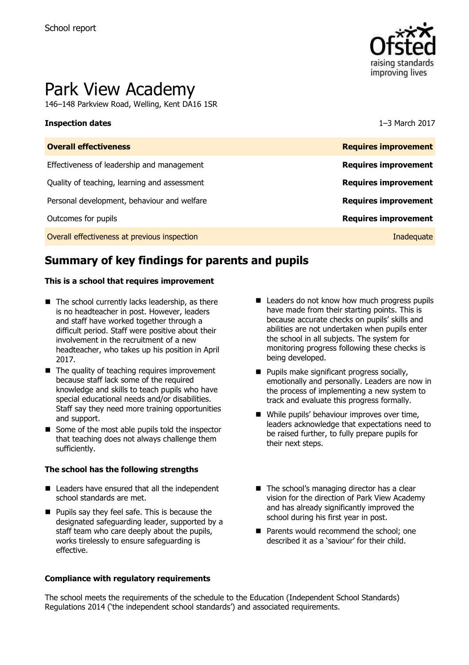

# Park View Academy

146–148 Parkview Road, Welling, Kent DA16 1SR

### **Inspection dates** 1–3 March 2017

| <b>Requires improvement</b> |
|-----------------------------|
| <b>Requires improvement</b> |
| <b>Requires improvement</b> |
| <b>Requires improvement</b> |
| <b>Requires improvement</b> |
| Inadequate                  |
|                             |

# **Summary of key findings for parents and pupils**

### **This is a school that requires improvement**

- $\blacksquare$  The school currently lacks leadership, as there is no headteacher in post. However, leaders and staff have worked together through a difficult period. Staff were positive about their involvement in the recruitment of a new headteacher, who takes up his position in April 2017.
- $\blacksquare$  The quality of teaching requires improvement because staff lack some of the required knowledge and skills to teach pupils who have special educational needs and/or disabilities. Staff say they need more training opportunities and support.
- $\blacksquare$  Some of the most able pupils told the inspector that teaching does not always challenge them sufficiently.

### **The school has the following strengths**

- Leaders have ensured that all the independent school standards are met.
- **Pupils say they feel safe. This is because the** designated safeguarding leader, supported by a staff team who care deeply about the pupils, works tirelessly to ensure safeguarding is effective.

### **Compliance with regulatory requirements**

- Leaders do not know how much progress pupils have made from their starting points. This is because accurate checks on pupils' skills and abilities are not undertaken when pupils enter the school in all subjects. The system for monitoring progress following these checks is being developed.
- **Pupils make significant progress socially,** emotionally and personally. Leaders are now in the process of implementing a new system to track and evaluate this progress formally.
- While pupils' behaviour improves over time, leaders acknowledge that expectations need to be raised further, to fully prepare pupils for their next steps.
- The school's managing director has a clear vision for the direction of Park View Academy and has already significantly improved the school during his first year in post.
- **Parents would recommend the school: one** described it as a 'saviour' for their child.

The school meets the requirements of the schedule to the Education (Independent School Standards) Regulations 2014 ('the independent school standards') and associated requirements.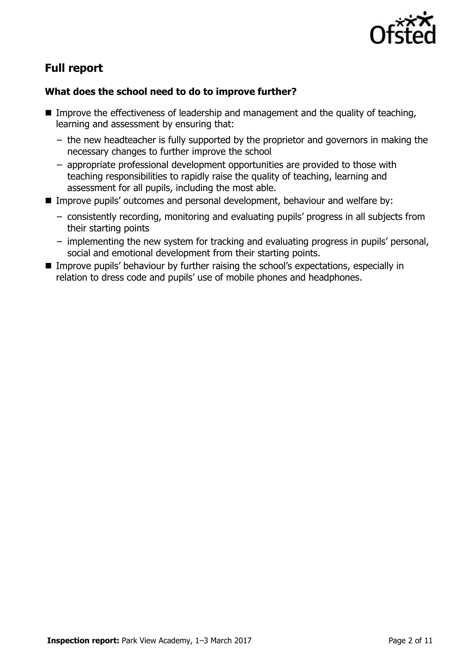

# **Full report**

### **What does the school need to do to improve further?**

- Improve the effectiveness of leadership and management and the quality of teaching, learning and assessment by ensuring that:
	- − the new headteacher is fully supported by the proprietor and governors in making the necessary changes to further improve the school
	- − appropriate professional development opportunities are provided to those with teaching responsibilities to rapidly raise the quality of teaching, learning and assessment for all pupils, including the most able.
- Improve pupils' outcomes and personal development, behaviour and welfare by:
	- − consistently recording, monitoring and evaluating pupils' progress in all subjects from their starting points
	- − implementing the new system for tracking and evaluating progress in pupils' personal, social and emotional development from their starting points.
- **IMPROVE PUPILS' behaviour by further raising the school's expectations, especially in** relation to dress code and pupils' use of mobile phones and headphones.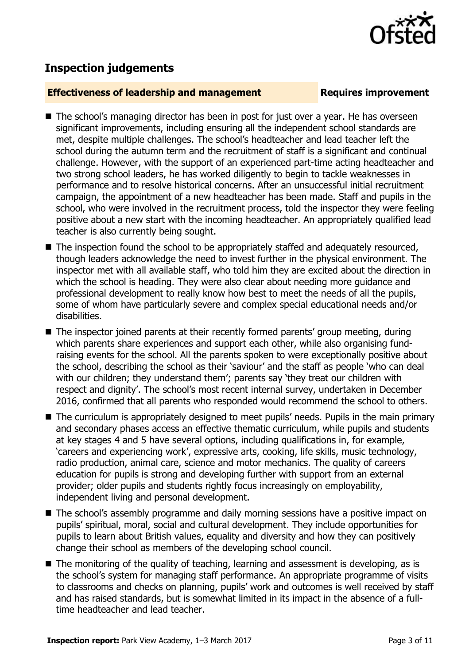

## **Inspection judgements**

### **Effectiveness of leadership and management Requires improvement**

- The school's managing director has been in post for just over a year. He has overseen significant improvements, including ensuring all the independent school standards are met, despite multiple challenges. The school's headteacher and lead teacher left the school during the autumn term and the recruitment of staff is a significant and continual challenge. However, with the support of an experienced part-time acting headteacher and two strong school leaders, he has worked diligently to begin to tackle weaknesses in performance and to resolve historical concerns. After an unsuccessful initial recruitment campaign, the appointment of a new headteacher has been made. Staff and pupils in the school, who were involved in the recruitment process, told the inspector they were feeling positive about a new start with the incoming headteacher. An appropriately qualified lead teacher is also currently being sought.
- The inspection found the school to be appropriately staffed and adequately resourced, though leaders acknowledge the need to invest further in the physical environment. The inspector met with all available staff, who told him they are excited about the direction in which the school is heading. They were also clear about needing more guidance and professional development to really know how best to meet the needs of all the pupils, some of whom have particularly severe and complex special educational needs and/or disabilities.
- The inspector joined parents at their recently formed parents' group meeting, during which parents share experiences and support each other, while also organising fundraising events for the school. All the parents spoken to were exceptionally positive about the school, describing the school as their 'saviour' and the staff as people 'who can deal with our children; they understand them'; parents say 'they treat our children with respect and dignity'. The school's most recent internal survey, undertaken in December 2016, confirmed that all parents who responded would recommend the school to others.
- The curriculum is appropriately designed to meet pupils' needs. Pupils in the main primary and secondary phases access an effective thematic curriculum, while pupils and students at key stages 4 and 5 have several options, including qualifications in, for example, 'careers and experiencing work', expressive arts, cooking, life skills, music technology, radio production, animal care, science and motor mechanics. The quality of careers education for pupils is strong and developing further with support from an external provider; older pupils and students rightly focus increasingly on employability, independent living and personal development.
- The school's assembly programme and daily morning sessions have a positive impact on pupils' spiritual, moral, social and cultural development. They include opportunities for pupils to learn about British values, equality and diversity and how they can positively change their school as members of the developing school council.
- The monitoring of the quality of teaching, learning and assessment is developing, as is the school's system for managing staff performance. An appropriate programme of visits to classrooms and checks on planning, pupils' work and outcomes is well received by staff and has raised standards, but is somewhat limited in its impact in the absence of a fulltime headteacher and lead teacher.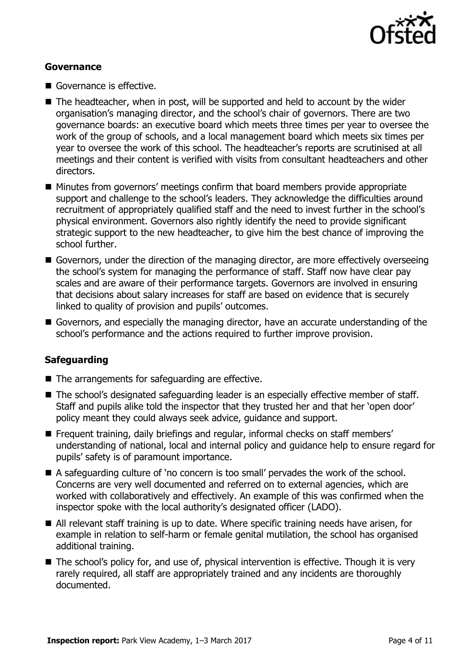

### **Governance**

- Governance is effective.
- The headteacher, when in post, will be supported and held to account by the wider organisation's managing director, and the school's chair of governors. There are two governance boards: an executive board which meets three times per year to oversee the work of the group of schools, and a local management board which meets six times per year to oversee the work of this school. The headteacher's reports are scrutinised at all meetings and their content is verified with visits from consultant headteachers and other directors.
- Minutes from governors' meetings confirm that board members provide appropriate support and challenge to the school's leaders. They acknowledge the difficulties around recruitment of appropriately qualified staff and the need to invest further in the school's physical environment. Governors also rightly identify the need to provide significant strategic support to the new headteacher, to give him the best chance of improving the school further.
- Governors, under the direction of the managing director, are more effectively overseeing the school's system for managing the performance of staff. Staff now have clear pay scales and are aware of their performance targets. Governors are involved in ensuring that decisions about salary increases for staff are based on evidence that is securely linked to quality of provision and pupils' outcomes.
- Governors, and especially the managing director, have an accurate understanding of the school's performance and the actions required to further improve provision.

### **Safeguarding**

- $\blacksquare$  The arrangements for safeguarding are effective.
- The school's designated safeguarding leader is an especially effective member of staff. Staff and pupils alike told the inspector that they trusted her and that her 'open door' policy meant they could always seek advice, guidance and support.
- **F** Frequent training, daily briefings and regular, informal checks on staff members' understanding of national, local and internal policy and guidance help to ensure regard for pupils' safety is of paramount importance.
- A safeguarding culture of 'no concern is too small' pervades the work of the school. Concerns are very well documented and referred on to external agencies, which are worked with collaboratively and effectively. An example of this was confirmed when the inspector spoke with the local authority's designated officer (LADO).
- All relevant staff training is up to date. Where specific training needs have arisen, for example in relation to self-harm or female genital mutilation, the school has organised additional training.
- The school's policy for, and use of, physical intervention is effective. Though it is very rarely required, all staff are appropriately trained and any incidents are thoroughly documented.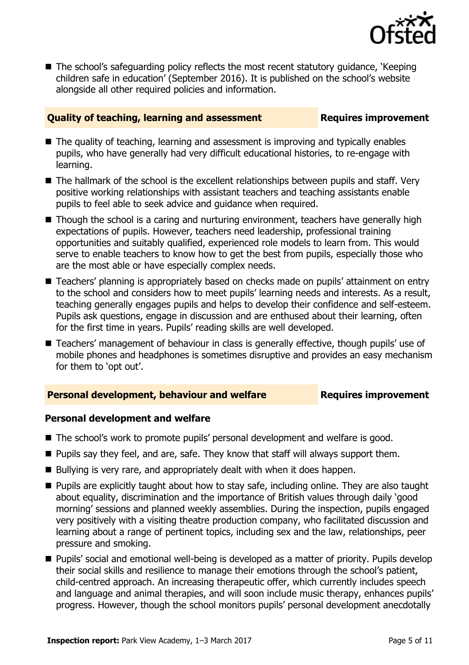

■ The school's safeguarding policy reflects the most recent statutory guidance, 'Keeping children safe in education' (September 2016). It is published on the school's website alongside all other required policies and information.

### **Quality of teaching, learning and assessment Requires improvement**

- The quality of teaching, learning and assessment is improving and typically enables pupils, who have generally had very difficult educational histories, to re-engage with learning.
- The hallmark of the school is the excellent relationships between pupils and staff. Very positive working relationships with assistant teachers and teaching assistants enable pupils to feel able to seek advice and guidance when required.
- Though the school is a caring and nurturing environment, teachers have generally high expectations of pupils. However, teachers need leadership, professional training opportunities and suitably qualified, experienced role models to learn from. This would serve to enable teachers to know how to get the best from pupils, especially those who are the most able or have especially complex needs.
- Teachers' planning is appropriately based on checks made on pupils' attainment on entry to the school and considers how to meet pupils' learning needs and interests. As a result, teaching generally engages pupils and helps to develop their confidence and self-esteem. Pupils ask questions, engage in discussion and are enthused about their learning, often for the first time in years. Pupils' reading skills are well developed.
- Teachers' management of behaviour in class is generally effective, though pupils' use of mobile phones and headphones is sometimes disruptive and provides an easy mechanism for them to 'opt out'.

### **Personal development, behaviour and welfare <b>Requires improvement**

### **Personal development and welfare**

- The school's work to promote pupils' personal development and welfare is good.
- **Pupils say they feel, and are, safe. They know that staff will always support them.**
- Bullying is very rare, and appropriately dealt with when it does happen.
- **Pupils are explicitly taught about how to stay safe, including online. They are also taught** about equality, discrimination and the importance of British values through daily 'good morning' sessions and planned weekly assemblies. During the inspection, pupils engaged very positively with a visiting theatre production company, who facilitated discussion and learning about a range of pertinent topics, including sex and the law, relationships, peer pressure and smoking.
- Pupils' social and emotional well-being is developed as a matter of priority. Pupils develop their social skills and resilience to manage their emotions through the school's patient, child-centred approach. An increasing therapeutic offer, which currently includes speech and language and animal therapies, and will soon include music therapy, enhances pupils' progress. However, though the school monitors pupils' personal development anecdotally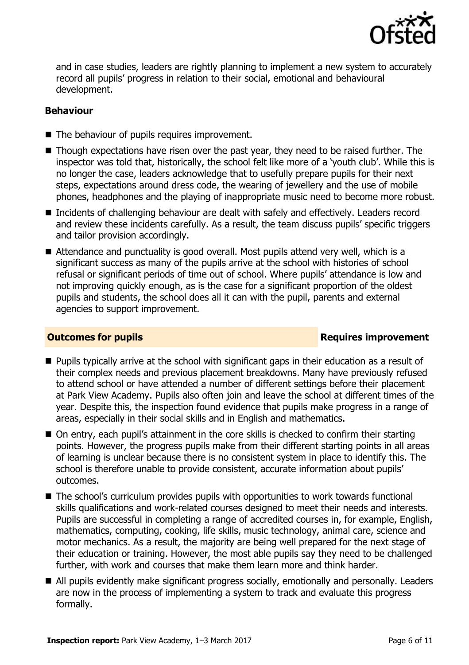

and in case studies, leaders are rightly planning to implement a new system to accurately record all pupils' progress in relation to their social, emotional and behavioural development.

### **Behaviour**

- The behaviour of pupils requires improvement.
- Though expectations have risen over the past year, they need to be raised further. The inspector was told that, historically, the school felt like more of a 'youth club'. While this is no longer the case, leaders acknowledge that to usefully prepare pupils for their next steps, expectations around dress code, the wearing of jewellery and the use of mobile phones, headphones and the playing of inappropriate music need to become more robust.
- Incidents of challenging behaviour are dealt with safely and effectively. Leaders record and review these incidents carefully. As a result, the team discuss pupils' specific triggers and tailor provision accordingly.
- Attendance and punctuality is good overall. Most pupils attend very well, which is a significant success as many of the pupils arrive at the school with histories of school refusal or significant periods of time out of school. Where pupils' attendance is low and not improving quickly enough, as is the case for a significant proportion of the oldest pupils and students, the school does all it can with the pupil, parents and external agencies to support improvement.

### **Outcomes for pupils Requires improvement**

- **Pupils typically arrive at the school with significant gaps in their education as a result of** their complex needs and previous placement breakdowns. Many have previously refused to attend school or have attended a number of different settings before their placement at Park View Academy. Pupils also often join and leave the school at different times of the year. Despite this, the inspection found evidence that pupils make progress in a range of areas, especially in their social skills and in English and mathematics.
- On entry, each pupil's attainment in the core skills is checked to confirm their starting points. However, the progress pupils make from their different starting points in all areas of learning is unclear because there is no consistent system in place to identify this. The school is therefore unable to provide consistent, accurate information about pupils' outcomes.
- The school's curriculum provides pupils with opportunities to work towards functional skills qualifications and work-related courses designed to meet their needs and interests. Pupils are successful in completing a range of accredited courses in, for example, English, mathematics, computing, cooking, life skills, music technology, animal care, science and motor mechanics. As a result, the majority are being well prepared for the next stage of their education or training. However, the most able pupils say they need to be challenged further, with work and courses that make them learn more and think harder.
- All pupils evidently make significant progress socially, emotionally and personally. Leaders are now in the process of implementing a system to track and evaluate this progress formally.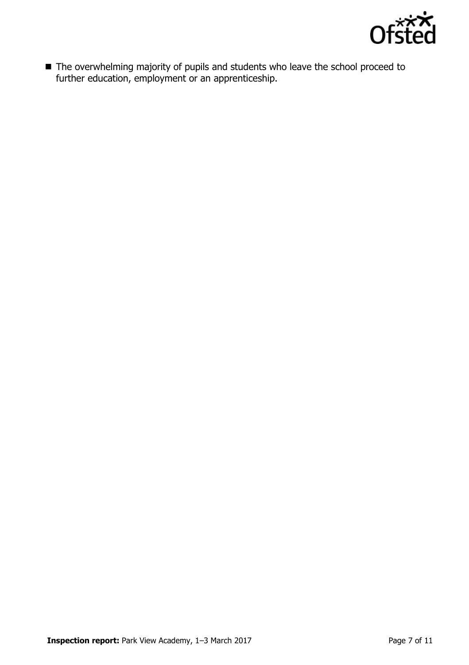

■ The overwhelming majority of pupils and students who leave the school proceed to further education, employment or an apprenticeship.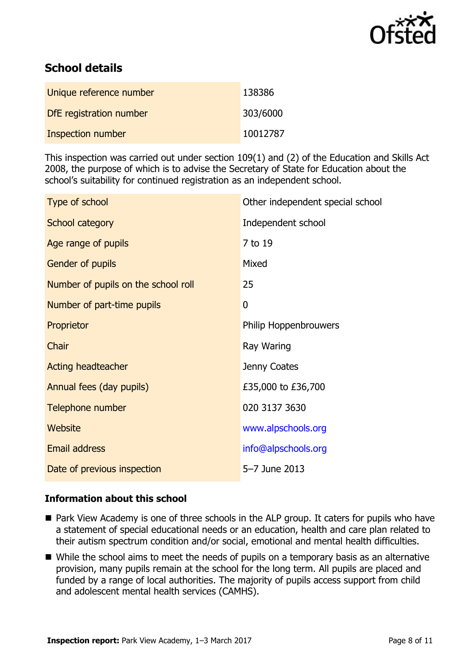

# **School details**

| Unique reference number | 138386   |
|-------------------------|----------|
| DfE registration number | 303/6000 |
| Inspection number       | 10012787 |

This inspection was carried out under section 109(1) and (2) of the Education and Skills Act 2008, the purpose of which is to advise the Secretary of State for Education about the school's suitability for continued registration as an independent school.

| Type of school                      | Other independent special school |
|-------------------------------------|----------------------------------|
| School category                     | Independent school               |
| Age range of pupils                 | 7 to 19                          |
| <b>Gender of pupils</b>             | Mixed                            |
| Number of pupils on the school roll | 25                               |
| Number of part-time pupils          | 0                                |
| Proprietor                          | Philip Hoppenbrouwers            |
| Chair                               | Ray Waring                       |
| <b>Acting headteacher</b>           | Jenny Coates                     |
| Annual fees (day pupils)            | £35,000 to £36,700               |
| Telephone number                    | 020 3137 3630                    |
| Website                             | www.alpschools.org               |
| <b>Email address</b>                | info@alpschools.org              |
| Date of previous inspection         | 5-7 June 2013                    |

### **Information about this school**

- Park View Academy is one of three schools in the ALP group. It caters for pupils who have a statement of special educational needs or an education, health and care plan related to their autism spectrum condition and/or social, emotional and mental health difficulties.
- While the school aims to meet the needs of pupils on a temporary basis as an alternative provision, many pupils remain at the school for the long term. All pupils are placed and funded by a range of local authorities. The majority of pupils access support from child and adolescent mental health services (CAMHS).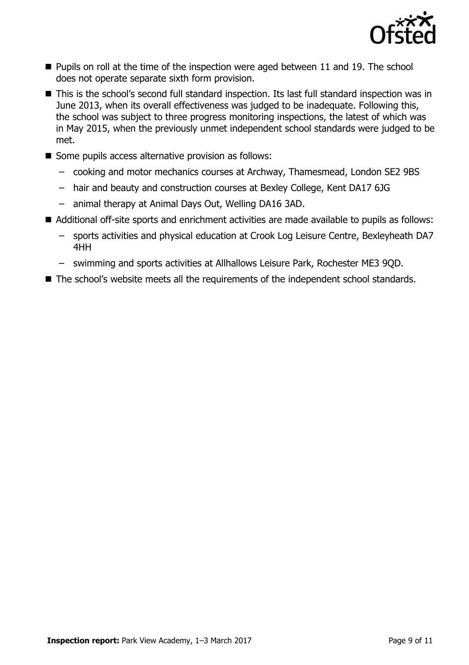

- **Pupils on roll at the time of the inspection were aged between 11 and 19. The school** does not operate separate sixth form provision.
- This is the school's second full standard inspection. Its last full standard inspection was in June 2013, when its overall effectiveness was judged to be inadequate. Following this, the school was subject to three progress monitoring inspections, the latest of which was in May 2015, when the previously unmet independent school standards were judged to be met.
- Some pupils access alternative provision as follows:
	- cooking and motor mechanics courses at Archway, Thamesmead, London SE2 9BS
	- hair and beauty and construction courses at Bexley College, Kent DA17 6JG
	- animal therapy at Animal Days Out, Welling DA16 3AD.
- Additional off-site sports and enrichment activities are made available to pupils as follows:
	- sports activities and physical education at Crook Log Leisure Centre, Bexleyheath DA7 4HH
	- swimming and sports activities at Allhallows Leisure Park, Rochester ME3 9QD.
- The school's website meets all the requirements of the independent school standards.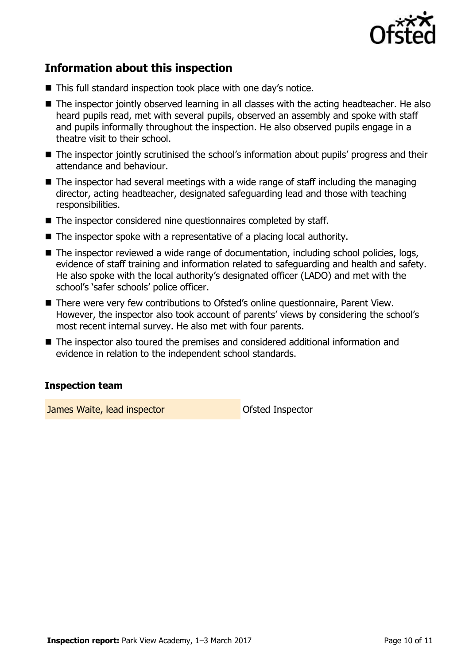

# **Information about this inspection**

- This full standard inspection took place with one day's notice.
- The inspector jointly observed learning in all classes with the acting headteacher. He also heard pupils read, met with several pupils, observed an assembly and spoke with staff and pupils informally throughout the inspection. He also observed pupils engage in a theatre visit to their school.
- The inspector jointly scrutinised the school's information about pupils' progress and their attendance and behaviour.
- The inspector had several meetings with a wide range of staff including the managing director, acting headteacher, designated safeguarding lead and those with teaching responsibilities.
- The inspector considered nine questionnaires completed by staff.
- The inspector spoke with a representative of a placing local authority.
- The inspector reviewed a wide range of documentation, including school policies, logs, evidence of staff training and information related to safeguarding and health and safety. He also spoke with the local authority's designated officer (LADO) and met with the school's 'safer schools' police officer.
- There were very few contributions to Ofsted's online questionnaire, Parent View. However, the inspector also took account of parents' views by considering the school's most recent internal survey. He also met with four parents.
- The inspector also toured the premises and considered additional information and evidence in relation to the independent school standards.

### **Inspection team**

**James Waite, lead inspector Constanting Constanting Constanting Constanting Constanting Constanting Constanting Constanting Constanting Constanting Constanting Constanting Constanting Constanting Constanting Constanting**